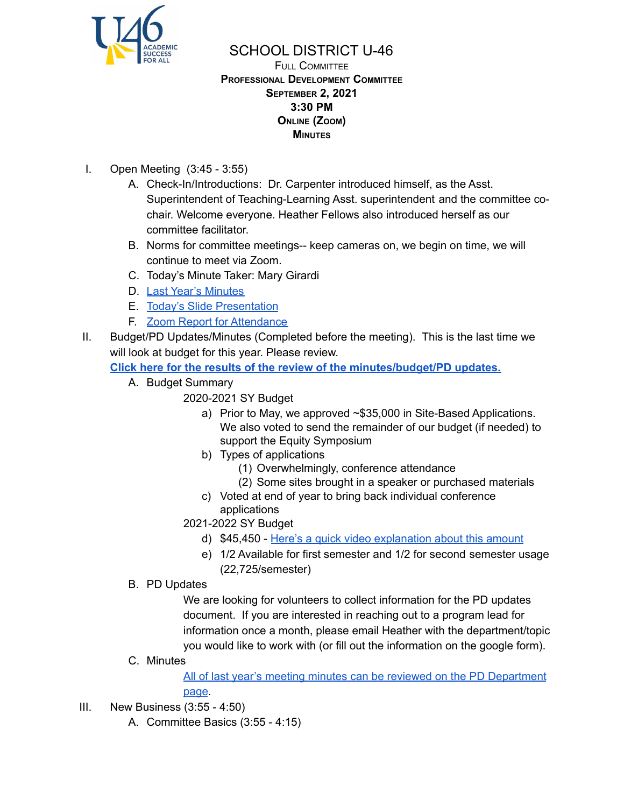

FULL COMMITTEE **PROFESSIONAL DEVELOPMENT COMMITTEE SEPTEMBER 2, 2021 3:30 PM ONLINE (ZOOM) MINUTES**

- I. Open Meeting (3:45 3:55)
	- A. Check-In/Introductions: Dr. Carpenter introduced himself, as the Asst. Superintendent of Teaching-Learning Asst. superintendent and the committee cochair. Welcome everyone. Heather Fellows also introduced herself as our committee facilitator.
	- B. Norms for committee meetings-- keep cameras on, we begin on time, we will continue to meet via Zoom.
	- C. Today's Minute Taker: Mary Girardi
	- D. Last Year's [Minutes](https://www.u-46.org/Page/17201)
	- E. Today's Slide [Presentation](https://docs.google.com/presentation/d/1NQemqmvrjY8D6xAL8eVy5vkOsG778h7wI3-qIqQRsvU/edit?usp=sharing)
	- F. Zoom Report for [Attendance](https://docs.google.com/spreadsheets/d/1zX3ea-jHlNQ1FjzPYWqWD6a9PTVTuFF6/edit?usp=sharing&ouid=114155932067581146592&rtpof=true&sd=true)
- II. Budget/PD Updates/Minutes (Completed before the meeting). This is the last time we will look at budget for this year. Please review.
	- **Click here for the results of the review of the [minutes/budget/PD](https://docs.google.com/document/d/1jnDNYYFcyrNgI-h9A0Za6TWTRe5KVtgNkUKlf47LRVU/edit?usp=sharing) updates.**
		- A. Budget Summary
			- 2020-2021 SY Budget
				- a) Prior to May, we approved ~\$35,000 in Site-Based Applications. We also voted to send the remainder of our budget (if needed) to support the Equity Symposium
				- b) Types of applications
					- (1) Overwhelmingly, conference attendance
					- (2) Some sites brought in a speaker or purchased materials
				- c) Voted at end of year to bring back individual conference applications
			- 2021-2022 SY Budget
				- d) \$45,450 Here's a quick video [explanation](https://www.loom.com/share/31222693b8174d8abec78cf3339dffe2) about this amount
				- e) 1/2 Available for first semester and 1/2 for second semester usage (22,725/semester)
		- B. PD Updates

We are looking for volunteers to collect information for the PD updates document. If you are interested in reaching out to a program lead for information once a month, please email Heather with the department/topic you would like to work with (or fill out the information on the google form).

C. Minutes

All of last year's meeting minutes can be reviewed on the PD [Department](https://www.u-46.org/Page/17201) [page](https://www.u-46.org/Page/17201).

- III. New Business (3:55 4:50)
	- A. Committee Basics (3:55 4:15)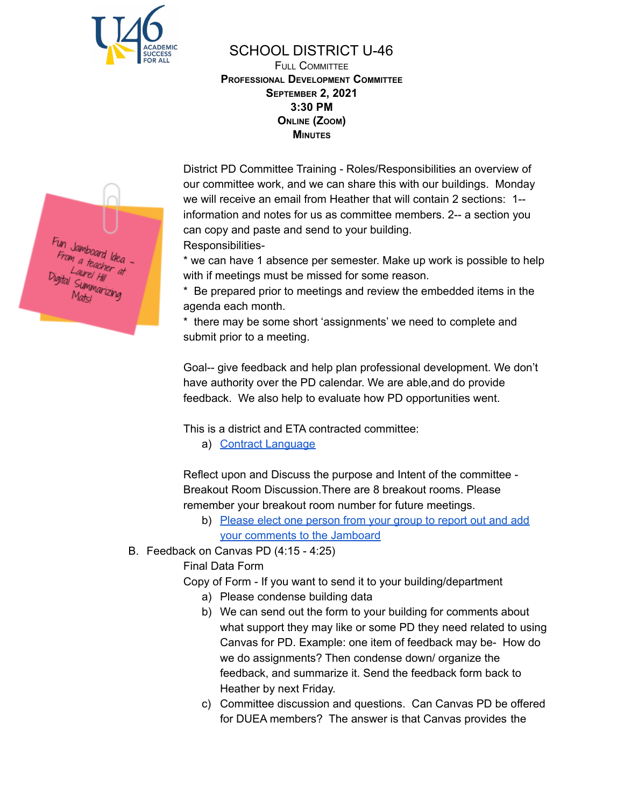

FULL COMMITTEE **PROFESSIONAL DEVELOPMENT COMMITTEE SEPTEMBER 2, 2021 3:30 PM ONLINE (ZOOM) MINUTES**

District PD Committee Training - Roles/Responsibilities an overview of our committee work, and we can share this with our buildings. Monday we will receive an email from Heather that will contain 2 sections: 1- information and notes for us as committee members. 2-- a section you can copy and paste and send to your building. Responsibilities-

\* we can have 1 absence per semester. Make up work is possible to help with if meetings must be missed for some reason.

\* Be prepared prior to meetings and review the embedded items in the agenda each month.

\* there may be some short 'assignments' we need to complete and submit prior to a meeting.

Goal-- give feedback and help plan professional development. We don't have authority over the PD calendar. We are able,and do provide feedback. We also help to evaluate how PD opportunities went.

This is a district and ETA contracted committee:

a) Contract [Language](https://www.u-46.org/Page/13918)

Reflect upon and Discuss the purpose and Intent of the committee - Breakout Room Discussion.There are 8 breakout rooms. Please remember your breakout room number for future meetings.

- b) Please elect one [person](https://jamboard.google.com/d/1_zMOBW8aOPyTedcrOmehdme1kHbP1KUaM_fxUM90WIg/edit?usp=sharing) from your group to report out and add your [comments](https://jamboard.google.com/d/1_zMOBW8aOPyTedcrOmehdme1kHbP1KUaM_fxUM90WIg/edit?usp=sharing) to the Jamboard
- B. Feedback on Canvas PD (4:15 4:25)

Final Data Form

Copy of Form - If you want to send it to your building/department

- a) Please condense building data
- b) We can send out the form to your building for comments about what support they may like or some PD they need related to using Canvas for PD. Example: one item of feedback may be- How do we do assignments? Then condense down/ organize the feedback, and summarize it. Send the feedback form back to Heather by next Friday.
- c) Committee discussion and questions. Can Canvas PD be offered for DUEA members? The answer is that Canvas provides the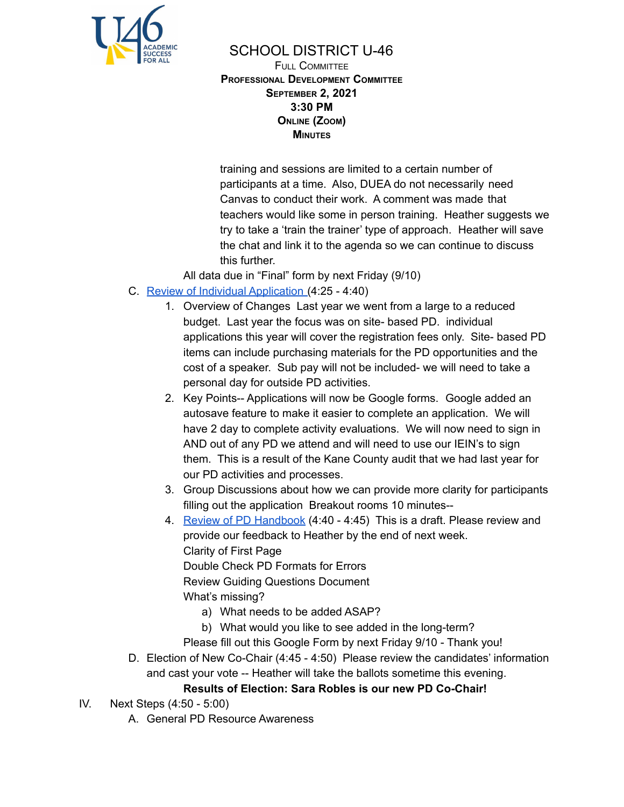

FULL COMMITTEE **PROFESSIONAL DEVELOPMENT COMMITTEE SEPTEMBER 2, 2021 3:30 PM ONLINE (ZOOM) MINUTES**

training and sessions are limited to a certain number of participants at a time. Also, DUEA do not necessarily need Canvas to conduct their work. A comment was made that teachers would like some in person training. Heather suggests we try to take a 'train the trainer' type of approach. Heather will save the chat and link it to the agenda so we can continue to discuss this further.

All data due in "Final" form by next Friday (9/10)

- C. Review of Individual [Application](https://docs.google.com/presentation/d/1YqsAw4F-lMgKfbH7t2RNU485E_m_qIFS0TV4dKjEHn8/edit?usp=sharing) (4:25 4:40)
	- 1. Overview of Changes Last year we went from a large to a reduced budget. Last year the focus was on site- based PD. individual applications this year will cover the registration fees only. Site- based PD items can include purchasing materials for the PD opportunities and the cost of a speaker. Sub pay will not be included- we will need to take a personal day for outside PD activities.
	- 2. Key Points-- Applications will now be Google forms. Google added an autosave feature to make it easier to complete an application. We will have 2 day to complete activity evaluations. We will now need to sign in AND out of any PD we attend and will need to use our IEIN's to sign them. This is a result of the Kane County audit that we had last year for our PD activities and processes.
	- 3. Group Discussions about how we can provide more clarity for participants filling out the application Breakout rooms 10 minutes--
	- 4. Review of PD [Handbook](https://docs.google.com/document/d/1aErBCmspGq0bC1U0n_qJmz-Fh0N3jHBh9J2EOiSyyi0/edit?usp=sharing) (4:40 4:45) This is a draft. Please review and provide our feedback to Heather by the end of next week. Clarity of First Page Double Check PD Formats for Errors Review Guiding Questions Document What's missing?
		- a) What needs to be added ASAP?
		- b) What would you like to see added in the long-term?
		- Please fill out this Google Form by next Friday 9/10 Thank you!
- D. Election of New Co-Chair (4:45 4:50) Please review the candidates' information and cast your vote -- Heather will take the ballots sometime this evening.

### **Results of Election: Sara Robles is our new PD Co-Chair!**

- IV. Next Steps (4:50 5:00)
	- A. General PD Resource Awareness